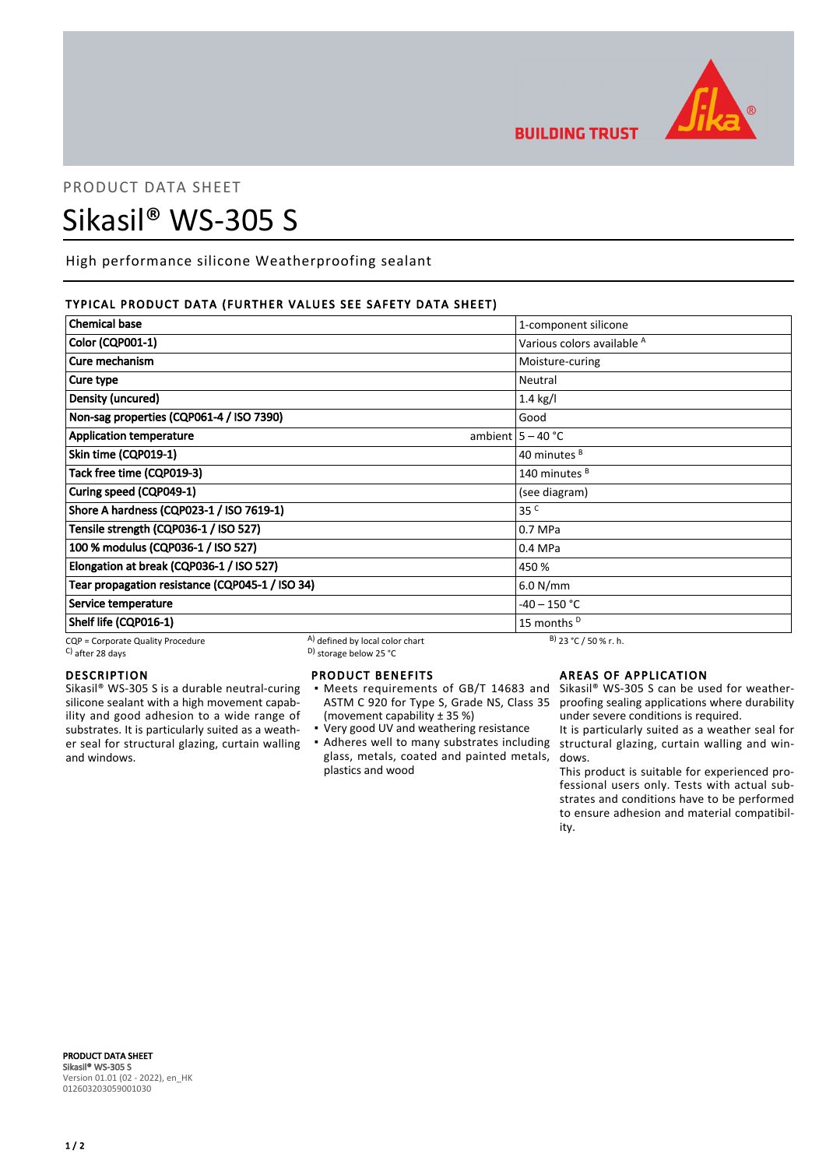

**BUILDING TRUST** 

# PRODUCT DATA SHEET Sikasil® WS-305 S

High performance silicone Weatherproofing sealant

## TYPICAL PRODUCT DATA (FURTHER VALUES SEE SAFETY DATA SHEET)

| <b>Chemical base</b>                            |                                 | 1-component silicone                  |
|-------------------------------------------------|---------------------------------|---------------------------------------|
| <b>Color (CQP001-1)</b>                         |                                 | Various colors available <sup>A</sup> |
| Cure mechanism                                  |                                 | Moisture-curing                       |
| Cure type                                       |                                 | Neutral                               |
| Density (uncured)                               |                                 | $1.4$ kg/l                            |
| Non-sag properties (CQP061-4 / ISO 7390)        |                                 | Good                                  |
| <b>Application temperature</b>                  |                                 | ambient $5 - 40$ °C                   |
| Skin time (CQP019-1)                            |                                 | 40 minutes <sup>B</sup>               |
| Tack free time (CQP019-3)                       |                                 | 140 minutes <sup>B</sup>              |
| Curing speed (CQP049-1)                         |                                 | (see diagram)                         |
| Shore A hardness (CQP023-1 / ISO 7619-1)        |                                 | 35 <sup>C</sup>                       |
| Tensile strength (CQP036-1 / ISO 527)           |                                 | 0.7 MPa                               |
| 100 % modulus (CQP036-1 / ISO 527)              |                                 | 0.4 MPa                               |
| Elongation at break (CQP036-1 / ISO 527)        |                                 | 450 %                                 |
| Tear propagation resistance (CQP045-1 / ISO 34) |                                 | 6.0 N/mm                              |
| Service temperature                             |                                 | -40 – 150 °C                          |
| Shelf life (CQP016-1)                           |                                 | 15 months <sup>D</sup>                |
| CQP = Corporate Quality Procedure               | A) defined by local color chart | $B)$ 23 °C / 50 % r. h.               |

 $\sim$  D) storage below 25 °C

# DESCRIPTION

Sikasil® WS-305 S is a durable neutral-curing silicone sealant with a high movement capability and good adhesion to a wide range of substrates. It is particularly suited as a weather seal for structural glazing, curtain walling and windows.

# PRODUCT BENEFITS

- ASTM C 920 for Type S, Grade NS, Class 35 (movement capability ± 35 %) ▪
- Very good UV and weathering resistance
- Adheres well to many substrates including structural glazing, curtain walling and winglass, metals, coated and painted metals, plastics and wood

# AREAS OF APPLICATION

Meets requirements of GB/T 14683 and Sikasil® WS-305 S can be used for weatherproofing sealing applications where durability under severe conditions is required.

> It is particularly suited as a weather seal for dows.

> This product is suitable for experienced professional users only. Tests with actual substrates and conditions have to be performed to ensure adhesion and material compatibility.

PRODUCT DATA SHEET Sikasil® WS-305 S Version 01.01 (02 - 2022), en\_HK 012603203059001030